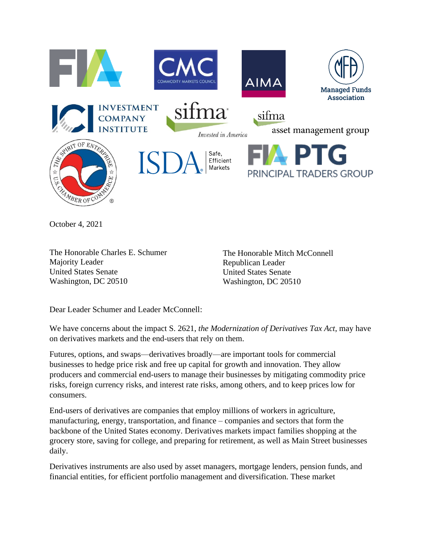

October 4, 2021

The Honorable Charles E. Schumer Majority Leader United States Senate Washington, DC 20510

The Honorable Mitch McConnell Republican Leader United States Senate Washington, DC 20510

Dear Leader Schumer and Leader McConnell:

We have concerns about the impact S. 2621, *the Modernization of Derivatives Tax Act*, may have on derivatives markets and the end-users that rely on them.

Futures, options, and swaps—derivatives broadly—are important tools for commercial businesses to hedge price risk and free up capital for growth and innovation. They allow producers and commercial end-users to manage their businesses by mitigating commodity price risks, foreign currency risks, and interest rate risks, among others, and to keep prices low for consumers.

End-users of derivatives are companies that employ millions of workers in agriculture, manufacturing, energy, transportation, and finance – companies and sectors that form the backbone of the United States economy. Derivatives markets impact families shopping at the grocery store, saving for college, and preparing for retirement, as well as Main Street businesses daily.

Derivatives instruments are also used by asset managers, mortgage lenders, pension funds, and financial entities, for efficient portfolio management and diversification. These market